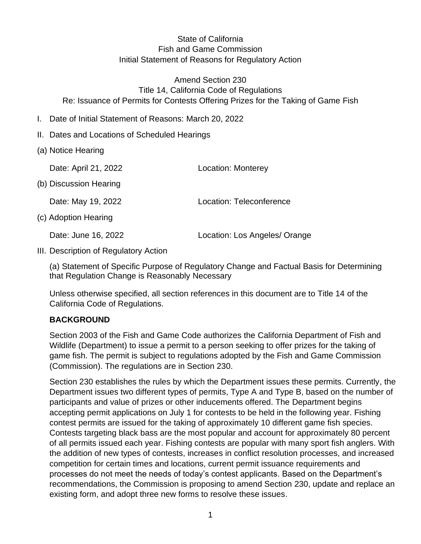# State of California Fish and Game Commission Initial Statement of Reasons for Regulatory Action

Amend Section 230 Title 14, California Code of Regulations Re: Issuance of Permits for Contests Offering Prizes for the Taking of Game Fish

- I. Date of Initial Statement of Reasons: March 20, 2022
- II. Dates and Locations of Scheduled Hearings
- (a) Notice Hearing

Date: April 21, 2022 Location: Monterey

(b) Discussion Hearing

Date: May 19, 2022 Location: Teleconference

(c) Adoption Hearing

Date: June 16, 2022 Location: Los Angeles/ Orange

III. Description of Regulatory Action

(a) Statement of Specific Purpose of Regulatory Change and Factual Basis for Determining that Regulation Change is Reasonably Necessary

Unless otherwise specified, all section references in this document are to Title 14 of the California Code of Regulations.

### **BACKGROUND**

Section 2003 of the Fish and Game Code authorizes the California Department of Fish and Wildlife (Department) to issue a permit to a person seeking to offer prizes for the taking of game fish. The permit is subject to regulations adopted by the Fish and Game Commission (Commission). The regulations are in Section 230.

Section 230 establishes the rules by which the Department issues these permits. Currently, the Department issues two different types of permits, Type A and Type B, based on the number of participants and value of prizes or other inducements offered. The Department begins accepting permit applications on July 1 for contests to be held in the following year. Fishing contest permits are issued for the taking of approximately 10 different game fish species. Contests targeting black bass are the most popular and account for approximately 80 percent of all permits issued each year. Fishing contests are popular with many sport fish anglers. With the addition of new types of contests, increases in conflict resolution processes, and increased competition for certain times and locations, current permit issuance requirements and processes do not meet the needs of today's contest applicants. Based on the Department's recommendations, the Commission is proposing to amend Section 230, update and replace an existing form, and adopt three new forms to resolve these issues.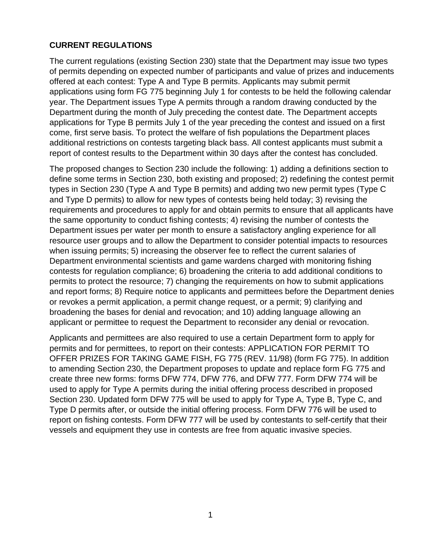### **CURRENT REGULATIONS**

The current regulations (existing Section 230) state that the Department may issue two types of permits depending on expected number of participants and value of prizes and inducements offered at each contest: Type A and Type B permits. Applicants may submit permit applications using form FG 775 beginning July 1 for contests to be held the following calendar year. The Department issues Type A permits through a random drawing conducted by the Department during the month of July preceding the contest date. The Department accepts applications for Type B permits July 1 of the year preceding the contest and issued on a first come, first serve basis. To protect the welfare of fish populations the Department places additional restrictions on contests targeting black bass. All contest applicants must submit a report of contest results to the Department within 30 days after the contest has concluded.

The proposed changes to Section 230 include the following: 1) adding a definitions section to define some terms in Section 230, both existing and proposed; 2) redefining the contest permit types in Section 230 (Type A and Type B permits) and adding two new permit types (Type C and Type D permits) to allow for new types of contests being held today; 3) revising the requirements and procedures to apply for and obtain permits to ensure that all applicants have the same opportunity to conduct fishing contests; 4) revising the number of contests the Department issues per water per month to ensure a satisfactory angling experience for all resource user groups and to allow the Department to consider potential impacts to resources when issuing permits; 5) increasing the observer fee to reflect the current salaries of Department environmental scientists and game wardens charged with monitoring fishing contests for regulation compliance; 6) broadening the criteria to add additional conditions to permits to protect the resource; 7) changing the requirements on how to submit applications and report forms; 8) Require notice to applicants and permittees before the Department denies or revokes a permit application, a permit change request, or a permit; 9) clarifying and broadening the bases for denial and revocation; and 10) adding language allowing an applicant or permittee to request the Department to reconsider any denial or revocation.

Applicants and permittees are also required to use a certain Department form to apply for permits and for permittees, to report on their contests: APPLICATION FOR PERMIT TO OFFER PRIZES FOR TAKING GAME FISH, FG 775 (REV. 11/98) (form FG 775). In addition to amending Section 230, the Department proposes to update and replace form FG 775 and create three new forms: forms DFW 774, DFW 776, and DFW 777. Form DFW 774 will be used to apply for Type A permits during the initial offering process described in proposed Section 230. Updated form DFW 775 will be used to apply for Type A, Type B, Type C, and Type D permits after, or outside the initial offering process. Form DFW 776 will be used to report on fishing contests. Form DFW 777 will be used by contestants to self-certify that their vessels and equipment they use in contests are free from aquatic invasive species.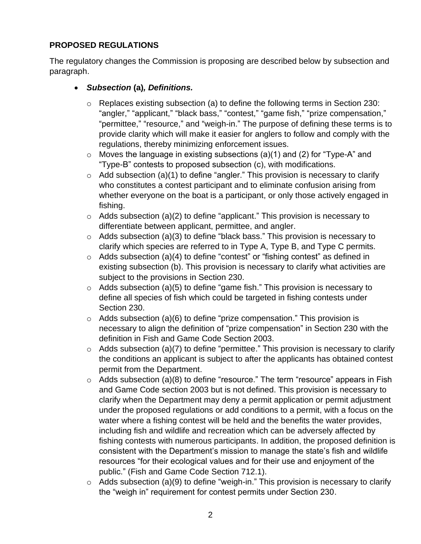# **PROPOSED REGULATIONS**

The regulatory changes the Commission is proposing are described below by subsection and paragraph.

- *Subsection* **(a)***, Definitions.*
	- $\circ$  Replaces existing subsection (a) to define the following terms in Section 230: "angler," "applicant," "black bass," "contest," "game fish," "prize compensation," "permittee," "resource," and "weigh-in." The purpose of defining these terms is to provide clarity which will make it easier for anglers to follow and comply with the regulations, thereby minimizing enforcement issues.
	- $\circ$  Moves the language in existing subsections (a)(1) and (2) for "Type-A" and "Type-B" contests to proposed subsection (c), with modifications.
	- $\circ$  Add subsection (a)(1) to define "angler." This provision is necessary to clarify who constitutes a contest participant and to eliminate confusion arising from whether everyone on the boat is a participant, or only those actively engaged in fishing.
	- $\circ$  Adds subsection (a)(2) to define "applicant." This provision is necessary to differentiate between applicant, permittee, and angler.
	- $\circ$  Adds subsection (a)(3) to define "black bass." This provision is necessary to clarify which species are referred to in Type A, Type B, and Type C permits.
	- $\circ$  Adds subsection (a)(4) to define "contest" or "fishing contest" as defined in existing subsection (b). This provision is necessary to clarify what activities are subject to the provisions in Section 230.
	- $\circ$  Adds subsection (a)(5) to define "game fish." This provision is necessary to define all species of fish which could be targeted in fishing contests under Section 230.
	- o Adds subsection (a)(6) to define "prize compensation." This provision is necessary to align the definition of "prize compensation" in Section 230 with the definition in Fish and Game Code Section 2003.
	- $\circ$  Adds subsection (a)(7) to define "permittee." This provision is necessary to clarify the conditions an applicant is subject to after the applicants has obtained contest permit from the Department.
	- $\circ$  Adds subsection (a)(8) to define "resource." The term "resource" appears in Fish and Game Code section 2003 but is not defined. This provision is necessary to clarify when the Department may deny a permit application or permit adjustment under the proposed regulations or add conditions to a permit, with a focus on the water where a fishing contest will be held and the benefits the water provides, including fish and wildlife and recreation which can be adversely affected by fishing contests with numerous participants. In addition, the proposed definition is consistent with the Department's mission to manage the state's fish and wildlife resources "for their ecological values and for their use and enjoyment of the public." (Fish and Game Code Section 712.1).
	- $\circ$  Adds subsection (a)(9) to define "weigh-in." This provision is necessary to clarify the "weigh in" requirement for contest permits under Section 230.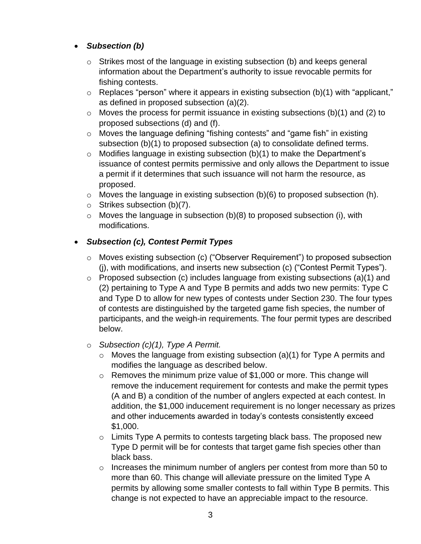# • *Subsection (b)*

- $\circ$  Strikes most of the language in existing subsection (b) and keeps general information about the Department's authority to issue revocable permits for fishing contests.
- o Replaces "person" where it appears in existing subsection (b)(1) with "applicant," as defined in proposed subsection (a)(2).
- $\circ$  Moves the process for permit issuance in existing subsections (b)(1) and (2) to proposed subsections (d) and (f).
- o Moves the language defining "fishing contests" and "game fish" in existing subsection (b)(1) to proposed subsection (a) to consolidate defined terms.
- $\circ$  Modifies language in existing subsection (b)(1) to make the Department's issuance of contest permits permissive and only allows the Department to issue a permit if it determines that such issuance will not harm the resource, as proposed.
- $\circ$  Moves the language in existing subsection (b)(6) to proposed subsection (h).
- o Strikes subsection (b)(7).
- $\circ$  Moves the language in subsection (b)(8) to proposed subsection (i), with modifications.

# • *Subsection (c), Contest Permit Types*

- o Moves existing subsection (c) ("Observer Requirement") to proposed subsection (j), with modifications, and inserts new subsection (c) ("Contest Permit Types").
- o Proposed subsection (c) includes language from existing subsections (a)(1) and (2) pertaining to Type A and Type B permits and adds two new permits: Type C and Type D to allow for new types of contests under Section 230. The four types of contests are distinguished by the targeted game fish species, the number of participants, and the weigh-in requirements. The four permit types are described below.

# o *Subsection (c)(1), Type A Permit.*

- $\circ$  Moves the language from existing subsection (a)(1) for Type A permits and modifies the language as described below.
- $\circ$  Removes the minimum prize value of \$1,000 or more. This change will remove the inducement requirement for contests and make the permit types (A and B) a condition of the number of anglers expected at each contest. In addition, the \$1,000 inducement requirement is no longer necessary as prizes and other inducements awarded in today's contests consistently exceed \$1,000.
- $\circ$  Limits Type A permits to contests targeting black bass. The proposed new Type D permit will be for contests that target game fish species other than black bass.
- o Increases the minimum number of anglers per contest from more than 50 to more than 60. This change will alleviate pressure on the limited Type A permits by allowing some smaller contests to fall within Type B permits. This change is not expected to have an appreciable impact to the resource.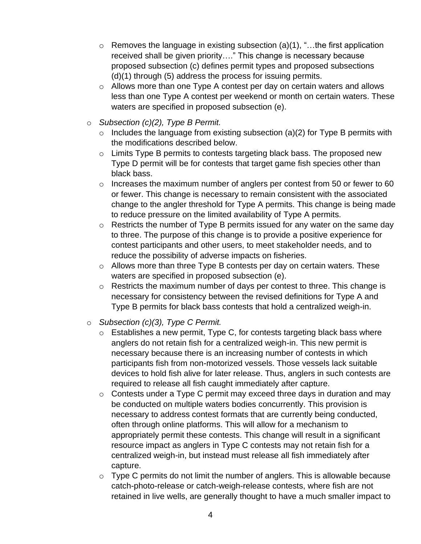- $\circ$  Removes the language in existing subsection (a)(1), "...the first application received shall be given priority…." This change is necessary because proposed subsection (c) defines permit types and proposed subsections (d)(1) through (5) address the process for issuing permits.
- o Allows more than one Type A contest per day on certain waters and allows less than one Type A contest per weekend or month on certain waters. These waters are specified in proposed subsection (e).
- o *Subsection (c)(2), Type B Permit.*
	- $\circ$  Includes the language from existing subsection (a)(2) for Type B permits with the modifications described below.
	- o Limits Type B permits to contests targeting black bass. The proposed new Type D permit will be for contests that target game fish species other than black bass.
	- o Increases the maximum number of anglers per contest from 50 or fewer to 60 or fewer. This change is necessary to remain consistent with the associated change to the angler threshold for Type A permits. This change is being made to reduce pressure on the limited availability of Type A permits.
	- o Restricts the number of Type B permits issued for any water on the same day to three. The purpose of this change is to provide a positive experience for contest participants and other users, to meet stakeholder needs, and to reduce the possibility of adverse impacts on fisheries.
	- o Allows more than three Type B contests per day on certain waters. These waters are specified in proposed subsection (e).
	- $\circ$  Restricts the maximum number of days per contest to three. This change is necessary for consistency between the revised definitions for Type A and Type B permits for black bass contests that hold a centralized weigh-in.
- o *Subsection (c)(3), Type C Permit.*
	- $\circ$  Establishes a new permit, Type C, for contests targeting black bass where anglers do not retain fish for a centralized weigh-in. This new permit is necessary because there is an increasing number of contests in which participants fish from non-motorized vessels. Those vessels lack suitable devices to hold fish alive for later release. Thus, anglers in such contests are required to release all fish caught immediately after capture.
	- $\circ$  Contests under a Type C permit may exceed three days in duration and may be conducted on multiple waters bodies concurrently. This provision is necessary to address contest formats that are currently being conducted, often through online platforms. This will allow for a mechanism to appropriately permit these contests. This change will result in a significant resource impact as anglers in Type C contests may not retain fish for a centralized weigh-in, but instead must release all fish immediately after capture.
	- $\circ$  Type C permits do not limit the number of anglers. This is allowable because catch-photo-release or catch-weigh-release contests, where fish are not retained in live wells, are generally thought to have a much smaller impact to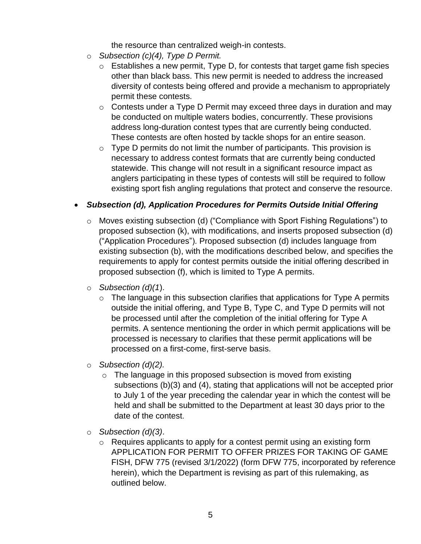the resource than centralized weigh-in contests.

- o *Subsection (c)(4), Type D Permit.*
	- $\circ$  Establishes a new permit, Type D, for contests that target game fish species other than black bass. This new permit is needed to address the increased diversity of contests being offered and provide a mechanism to appropriately permit these contests.
	- $\circ$  Contests under a Type D Permit may exceed three days in duration and may be conducted on multiple waters bodies, concurrently. These provisions address long-duration contest types that are currently being conducted. These contests are often hosted by tackle shops for an entire season.
	- $\circ$  Type D permits do not limit the number of participants. This provision is necessary to address contest formats that are currently being conducted statewide. This change will not result in a significant resource impact as anglers participating in these types of contests will still be required to follow existing sport fish angling regulations that protect and conserve the resource.

# • *Subsection (d), Application Procedures for Permits Outside Initial Offering*

- o Moves existing subsection (d) ("Compliance with Sport Fishing Regulations") to proposed subsection (k), with modifications, and inserts proposed subsection (d) ("Application Procedures"). Proposed subsection (d) includes language from existing subsection (b), with the modifications described below, and specifies the requirements to apply for contest permits outside the initial offering described in proposed subsection (f), which is limited to Type A permits.
- o *Subsection (d)(1*).
	- $\circ$  The language in this subsection clarifies that applications for Type A permits outside the initial offering, and Type B, Type C, and Type D permits will not be processed until after the completion of the initial offering for Type A permits. A sentence mentioning the order in which permit applications will be processed is necessary to clarifies that these permit applications will be processed on a first-come, first-serve basis.
- o *Subsection (d)(2).* 
	- $\circ$  The language in this proposed subsection is moved from existing subsections (b)(3) and (4), stating that applications will not be accepted prior to July 1 of the year preceding the calendar year in which the contest will be held and shall be submitted to the Department at least 30 days prior to the date of the contest.
- o *Subsection (d)(3)*.
	- o Requires applicants to apply for a contest permit using an existing form APPLICATION FOR PERMIT TO OFFER PRIZES FOR TAKING OF GAME FISH, DFW 775 (revised 3/1/2022) (form DFW 775, incorporated by reference herein), which the Department is revising as part of this rulemaking, as outlined below.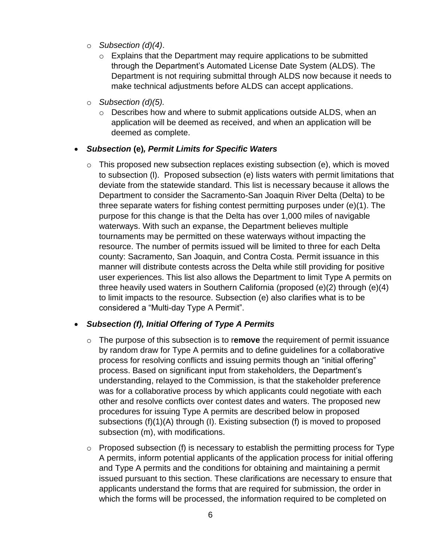- o *Subsection (d)(4)*.
	- $\circ$  Explains that the Department may require applications to be submitted through the Department's Automated License Date System (ALDS). The Department is not requiring submittal through ALDS now because it needs to make technical adjustments before ALDS can accept applications.
- o *Subsection (d)(5).*
	- o Describes how and where to submit applications outside ALDS, when an application will be deemed as received, and when an application will be deemed as complete.

#### • *Subsection* **(e)***, Permit Limits for Specific Waters*

 $\circ$  This proposed new subsection replaces existing subsection (e), which is moved to subsection (l). Proposed subsection (e) lists waters with permit limitations that deviate from the statewide standard. This list is necessary because it allows the Department to consider the Sacramento-San Joaquin River Delta (Delta) to be three separate waters for fishing contest permitting purposes under (e)(1). The purpose for this change is that the Delta has over 1,000 miles of navigable waterways. With such an expanse, the Department believes multiple tournaments may be permitted on these waterways without impacting the resource. The number of permits issued will be limited to three for each Delta county: Sacramento, San Joaquin, and Contra Costa. Permit issuance in this manner will distribute contests across the Delta while still providing for positive user experiences. This list also allows the Department to limit Type A permits on three heavily used waters in Southern California (proposed (e)(2) through (e)(4) to limit impacts to the resource. Subsection (e) also clarifies what is to be considered a "Multi-day Type A Permit".

### • *Subsection (f), Initial Offering of Type A Permits*

- o The purpose of this subsection is to r**emove** the requirement of permit issuance by random draw for Type A permits and to define guidelines for a collaborative process for resolving conflicts and issuing permits though an "initial offering" process. Based on significant input from stakeholders, the Department's understanding, relayed to the Commission, is that the stakeholder preference was for a collaborative process by which applicants could negotiate with each other and resolve conflicts over contest dates and waters. The proposed new procedures for issuing Type A permits are described below in proposed subsections (f)(1)(A) through (I). Existing subsection (f) is moved to proposed subsection (m), with modifications.
- $\circ$  Proposed subsection (f) is necessary to establish the permitting process for Type A permits, inform potential applicants of the application process for initial offering and Type A permits and the conditions for obtaining and maintaining a permit issued pursuant to this section. These clarifications are necessary to ensure that applicants understand the forms that are required for submission, the order in which the forms will be processed, the information required to be completed on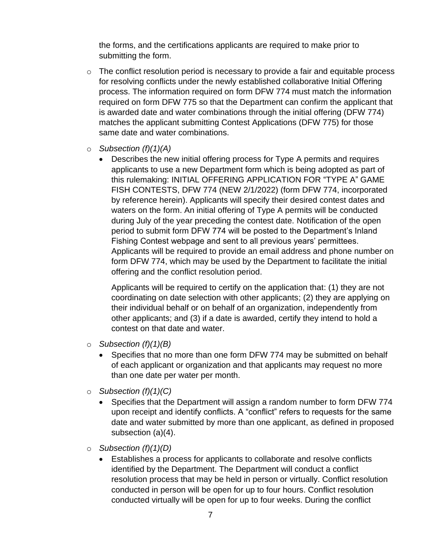the forms, and the certifications applicants are required to make prior to submitting the form.

- $\circ$  The conflict resolution period is necessary to provide a fair and equitable process for resolving conflicts under the newly established collaborative Initial Offering process. The information required on form DFW 774 must match the information required on form DFW 775 so that the Department can confirm the applicant that is awarded date and water combinations through the initial offering (DFW 774) matches the applicant submitting Contest Applications (DFW 775) for those same date and water combinations.
- o *Subsection (f)(1)(A)*
	- Describes the new initial offering process for Type A permits and requires applicants to use a new Department form which is being adopted as part of this rulemaking: INITIAL OFFERING APPLICATION FOR "TYPE A" GAME FISH CONTESTS, DFW 774 (NEW 2/1/2022) (form DFW 774, incorporated by reference herein). Applicants will specify their desired contest dates and waters on the form. An initial offering of Type A permits will be conducted during July of the year preceding the contest date. Notification of the open period to submit form DFW 774 will be posted to the Department's Inland Fishing Contest webpage and sent to all previous years' permittees. Applicants will be required to provide an email address and phone number on form DFW 774, which may be used by the Department to facilitate the initial offering and the conflict resolution period.

Applicants will be required to certify on the application that: (1) they are not coordinating on date selection with other applicants; (2) they are applying on their individual behalf or on behalf of an organization, independently from other applicants; and (3) if a date is awarded, certify they intend to hold a contest on that date and water.

- o *Subsection (f)(1)(B)*
	- Specifies that no more than one form DFW 774 may be submitted on behalf of each applicant or organization and that applicants may request no more than one date per water per month.
- o *Subsection (f)(1)(C)*
	- Specifies that the Department will assign a random number to form DFW 774 upon receipt and identify conflicts. A "conflict" refers to requests for the same date and water submitted by more than one applicant, as defined in proposed subsection (a)(4).
- o *Subsection (f)(1)(D)* 
	- Establishes a process for applicants to collaborate and resolve conflicts identified by the Department. The Department will conduct a conflict resolution process that may be held in person or virtually. Conflict resolution conducted in person will be open for up to four hours. Conflict resolution conducted virtually will be open for up to four weeks. During the conflict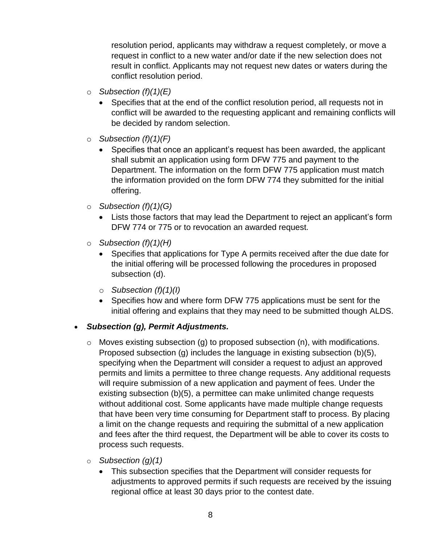resolution period, applicants may withdraw a request completely, or move a request in conflict to a new water and/or date if the new selection does not result in conflict. Applicants may not request new dates or waters during the conflict resolution period.

- o *Subsection (f)(1)(E)*
	- Specifies that at the end of the conflict resolution period, all requests not in conflict will be awarded to the requesting applicant and remaining conflicts will be decided by random selection.
- o *Subsection (f)(1)(F)*
	- Specifies that once an applicant's request has been awarded, the applicant shall submit an application using form DFW 775 and payment to the Department. The information on the form DFW 775 application must match the information provided on the form DFW 774 they submitted for the initial offering.
- o *Subsection (f)(1)(G)* 
	- Lists those factors that may lead the Department to reject an applicant's form DFW 774 or 775 or to revocation an awarded request.
- o *Subsection (f)(1)(H)* 
	- Specifies that applications for Type A permits received after the due date for the initial offering will be processed following the procedures in proposed subsection (d).
	- o *Subsection (f)(1)(I)*
	- Specifies how and where form DFW 775 applications must be sent for the initial offering and explains that they may need to be submitted though ALDS.

#### • *Subsection (g), Permit Adjustments.*

- $\circ$  Moves existing subsection (g) to proposed subsection (n), with modifications. Proposed subsection (g) includes the language in existing subsection (b)(5), specifying when the Department will consider a request to adjust an approved permits and limits a permittee to three change requests. Any additional requests will require submission of a new application and payment of fees. Under the existing subsection (b)(5), a permittee can make unlimited change requests without additional cost. Some applicants have made multiple change requests that have been very time consuming for Department staff to process. By placing a limit on the change requests and requiring the submittal of a new application and fees after the third request, the Department will be able to cover its costs to process such requests.
- o *Subsection (g)(1)*
	- This subsection specifies that the Department will consider requests for adjustments to approved permits if such requests are received by the issuing regional office at least 30 days prior to the contest date.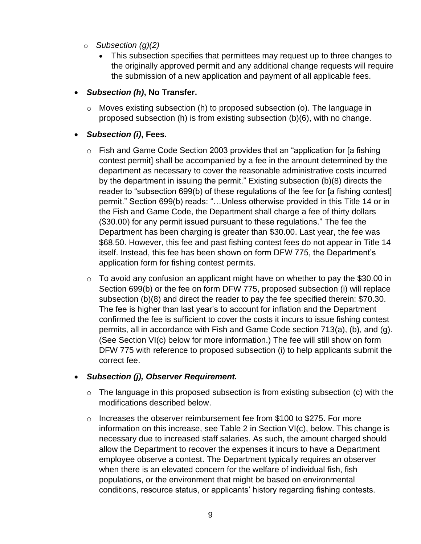- o *Subsection (g)(2)* 
	- This subsection specifies that permittees may request up to three changes to the originally approved permit and any additional change requests will require the submission of a new application and payment of all applicable fees.
- *Subsection (h)***, No Transfer.**
	- o Moves existing subsection (h) to proposed subsection (o). The language in proposed subsection (h) is from existing subsection (b)(6), with no change.

# • *Subsection (i)***, Fees.**

- o Fish and Game Code Section 2003 provides that an "application for [a fishing contest permit] shall be accompanied by a fee in the amount determined by the department as necessary to cover the reasonable administrative costs incurred by the department in issuing the permit." Existing subsection (b)(8) directs the reader to "subsection 699(b) of these regulations of the fee for [a fishing contest] permit." Section 699(b) reads: "…Unless otherwise provided in this Title 14 or in the Fish and Game Code, the Department shall charge a fee of thirty dollars (\$30.00) for any permit issued pursuant to these regulations." The fee the Department has been charging is greater than \$30.00. Last year, the fee was \$68.50. However, this fee and past fishing contest fees do not appear in Title 14 itself. Instead, this fee has been shown on form DFW 775, the Department's application form for fishing contest permits.
- o To avoid any confusion an applicant might have on whether to pay the \$30.00 in Section 699(b) or the fee on form DFW 775, proposed subsection (i) will replace subsection (b)(8) and direct the reader to pay the fee specified therein: \$70.30. The fee is higher than last year's to account for inflation and the Department confirmed the fee is sufficient to cover the costs it incurs to issue fishing contest permits, all in accordance with Fish and Game Code section 713(a), (b), and (g). (See Section VI(c) below for more information.) The fee will still show on form DFW 775 with reference to proposed subsection (i) to help applicants submit the correct fee.

### • *Subsection (j), Observer Requirement.*

- $\circ$  The language in this proposed subsection is from existing subsection (c) with the modifications described below.
- o Increases the observer reimbursement fee from \$100 to \$275. For more information on this increase, see Table 2 in Section VI(c), below. This change is necessary due to increased staff salaries. As such, the amount charged should allow the Department to recover the expenses it incurs to have a Department employee observe a contest. The Department typically requires an observer when there is an elevated concern for the welfare of individual fish, fish populations, or the environment that might be based on environmental conditions, resource status, or applicants' history regarding fishing contests.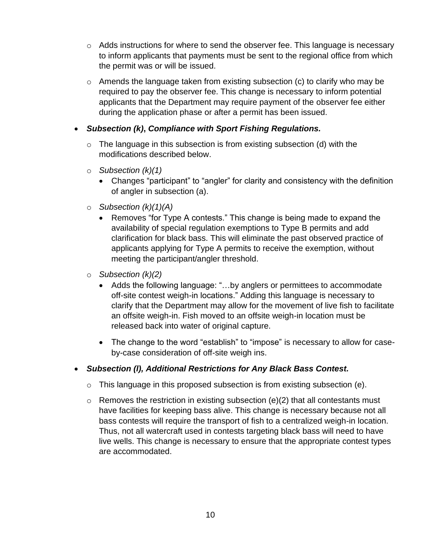- o Adds instructions for where to send the observer fee. This language is necessary to inform applicants that payments must be sent to the regional office from which the permit was or will be issued.
- $\circ$  Amends the language taken from existing subsection (c) to clarify who may be required to pay the observer fee. This change is necessary to inform potential applicants that the Department may require payment of the observer fee either during the application phase or after a permit has been issued.

### • *Subsection (k)***,** *Compliance with Sport Fishing Regulations.*

- $\circ$  The language in this subsection is from existing subsection (d) with the modifications described below.
- o *Subsection (k)(1)*
	- Changes "participant" to "angler" for clarity and consistency with the definition of angler in subsection (a).
- o *Subsection (k)(1)(A)*
	- Removes "for Type A contests." This change is being made to expand the availability of special regulation exemptions to Type B permits and add clarification for black bass. This will eliminate the past observed practice of applicants applying for Type A permits to receive the exemption, without meeting the participant/angler threshold.
- o *Subsection (k)(2)*
	- Adds the following language: "…by anglers or permittees to accommodate off-site contest weigh-in locations." Adding this language is necessary to clarify that the Department may allow for the movement of live fish to facilitate an offsite weigh-in. Fish moved to an offsite weigh-in location must be released back into water of original capture.
	- The change to the word "establish" to "impose" is necessary to allow for caseby-case consideration of off-site weigh ins.
- *Subsection (l), Additional Restrictions for Any Black Bass Contest.*
	- $\circ$  This language in this proposed subsection is from existing subsection (e).
	- $\circ$  Removes the restriction in existing subsection (e)(2) that all contestants must have facilities for keeping bass alive. This change is necessary because not all bass contests will require the transport of fish to a centralized weigh-in location. Thus, not all watercraft used in contests targeting black bass will need to have live wells. This change is necessary to ensure that the appropriate contest types are accommodated.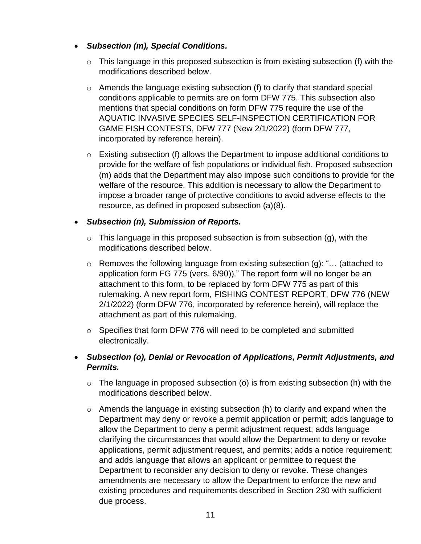- *Subsection (m), Special Conditions.* 
	- $\circ$  This language in this proposed subsection is from existing subsection (f) with the modifications described below.
	- $\circ$  Amends the language existing subsection (f) to clarify that standard special conditions applicable to permits are on form DFW 775. This subsection also mentions that special conditions on form DFW 775 require the use of the AQUATIC INVASIVE SPECIES SELF-INSPECTION CERTIFICATION FOR GAME FISH CONTESTS, DFW 777 (New 2/1/2022) (form DFW 777, incorporated by reference herein).
	- $\circ$  Existing subsection (f) allows the Department to impose additional conditions to provide for the welfare of fish populations or individual fish. Proposed subsection (m) adds that the Department may also impose such conditions to provide for the welfare of the resource. This addition is necessary to allow the Department to impose a broader range of protective conditions to avoid adverse effects to the resource, as defined in proposed subsection (a)(8).

# • *Subsection (n), Submission of Reports.*

- $\circ$  This language in this proposed subsection is from subsection (g), with the modifications described below.
- o Removes the following language from existing subsection (g): "… (attached to application form FG 775 (vers. 6/90))." The report form will no longer be an attachment to this form, to be replaced by form DFW 775 as part of this rulemaking. A new report form, FISHING CONTEST REPORT, DFW 776 (NEW 2/1/2022) (form DFW 776, incorporated by reference herein), will replace the attachment as part of this rulemaking.
- o Specifies that form DFW 776 will need to be completed and submitted electronically.
- *Subsection (o), Denial or Revocation of Applications, Permit Adjustments, and Permits.* 
	- $\circ$  The language in proposed subsection (o) is from existing subsection (h) with the modifications described below.
	- $\circ$  Amends the language in existing subsection (h) to clarify and expand when the Department may deny or revoke a permit application or permit; adds language to allow the Department to deny a permit adjustment request; adds language clarifying the circumstances that would allow the Department to deny or revoke applications, permit adjustment request, and permits; adds a notice requirement; and adds language that allows an applicant or permittee to request the Department to reconsider any decision to deny or revoke. These changes amendments are necessary to allow the Department to enforce the new and existing procedures and requirements described in Section 230 with sufficient due process.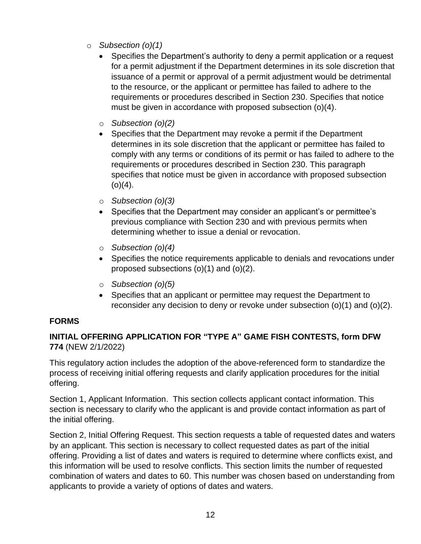- o *Subsection (o)(1)*
	- Specifies the Department's authority to deny a permit application or a request for a permit adjustment if the Department determines in its sole discretion that issuance of a permit or approval of a permit adjustment would be detrimental to the resource, or the applicant or permittee has failed to adhere to the requirements or procedures described in Section 230. Specifies that notice must be given in accordance with proposed subsection (o)(4).
	- o *Subsection (o)(2)*
	- Specifies that the Department may revoke a permit if the Department determines in its sole discretion that the applicant or permittee has failed to comply with any terms or conditions of its permit or has failed to adhere to the requirements or procedures described in Section 230. This paragraph specifies that notice must be given in accordance with proposed subsection  $(o)(4)$ .
	- o *Subsection (o)(3)*
	- Specifies that the Department may consider an applicant's or permittee's previous compliance with Section 230 and with previous permits when determining whether to issue a denial or revocation.
	- o *Subsection (o)(4)*
	- Specifies the notice requirements applicable to denials and revocations under proposed subsections (o)(1) and (o)(2).
	- o *Subsection (o)(5)*
	- Specifies that an applicant or permittee may request the Department to reconsider any decision to deny or revoke under subsection (o)(1) and (o)(2).

# **FORMS**

# **INITIAL OFFERING APPLICATION FOR "TYPE A" GAME FISH CONTESTS, form DFW 774** (NEW 2/1/2022)

This regulatory action includes the adoption of the above-referenced form to standardize the process of receiving initial offering requests and clarify application procedures for the initial offering.

Section 1, Applicant Information. This section collects applicant contact information. This section is necessary to clarify who the applicant is and provide contact information as part of the initial offering.

Section 2, Initial Offering Request. This section requests a table of requested dates and waters by an applicant. This section is necessary to collect requested dates as part of the initial offering. Providing a list of dates and waters is required to determine where conflicts exist, and this information will be used to resolve conflicts. This section limits the number of requested combination of waters and dates to 60. This number was chosen based on understanding from applicants to provide a variety of options of dates and waters.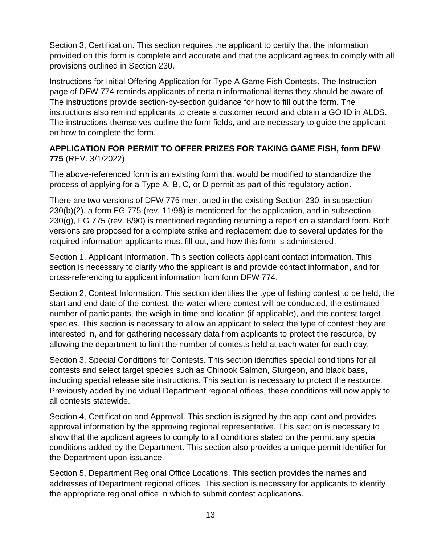Section 3, Certification. This section requires the applicant to certify that the information provided on this form is complete and accurate and that the applicant agrees to comply with all provisions outlined in Section 230.

Instructions for Initial Offering Application for Type A Game Fish Contests. The Instruction page of DFW 774 reminds applicants of certain informational items they should be aware of. The instructions provide section-by-section guidance for how to fill out the form. The instructions also remind applicants to create a customer record and obtain a GO ID in ALDS. The instructions themselves outline the form fields, and are necessary to guide the applicant on how to complete the form.

# **APPLICATION FOR PERMIT TO OFFER PRIZES FOR TAKING GAME FISH, form DFW 775** (REV. 3/1/2022)

The above-referenced form is an existing form that would be modified to standardize the process of applying for a Type A, B, C, or D permit as part of this regulatory action.

There are two versions of DFW 775 mentioned in the existing Section 230: in subsection 230(b)(2), a form FG 775 (rev. 11/98) is mentioned for the application, and in subsection 230(g), FG 775 (rev. 6/90) is mentioned regarding returning a report on a standard form. Both versions are proposed for a complete strike and replacement due to several updates for the required information applicants must fill out, and how this form is administered.

Section 1, Applicant Information. This section collects applicant contact information. This section is necessary to clarify who the applicant is and provide contact information, and for cross-referencing to applicant information from form DFW 774.

Section 2, Contest Information. This section identifies the type of fishing contest to be held, the start and end date of the contest, the water where contest will be conducted, the estimated number of participants, the weigh-in time and location (if applicable), and the contest target species. This section is necessary to allow an applicant to select the type of contest they are interested in, and for gathering necessary data from applicants to protect the resource, by allowing the department to limit the number of contests held at each water for each day.

Section 3, Special Conditions for Contests. This section identifies special conditions for all contests and select target species such as Chinook Salmon, Sturgeon, and black bass, including special release site instructions. This section is necessary to protect the resource. Previously added by individual Department regional offices, these conditions will now apply to all contests statewide.

Section 4, Certification and Approval. This section is signed by the applicant and provides approval information by the approving regional representative. This section is necessary to show that the applicant agrees to comply to all conditions stated on the permit any special conditions added by the Department. This section also provides a unique permit identifier for the Department upon issuance.

Section 5, Department Regional Office Locations. This section provides the names and addresses of Department regional offices. This section is necessary for applicants to identify the appropriate regional office in which to submit contest applications.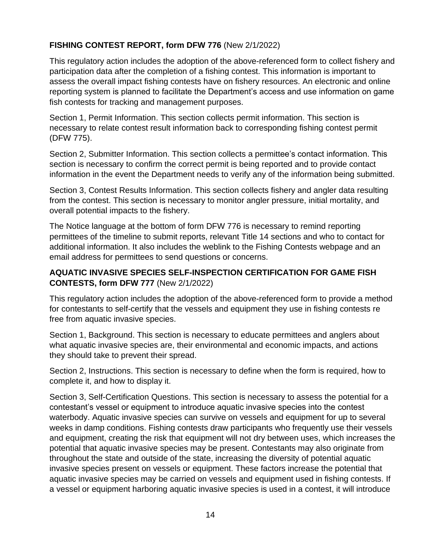# **FISHING CONTEST REPORT, form DFW 776** (New 2/1/2022)

This regulatory action includes the adoption of the above-referenced form to collect fishery and participation data after the completion of a fishing contest. This information is important to assess the overall impact fishing contests have on fishery resources. An electronic and online reporting system is planned to facilitate the Department's access and use information on game fish contests for tracking and management purposes.

Section 1, Permit Information. This section collects permit information. This section is necessary to relate contest result information back to corresponding fishing contest permit (DFW 775).

Section 2, Submitter Information. This section collects a permittee's contact information. This section is necessary to confirm the correct permit is being reported and to provide contact information in the event the Department needs to verify any of the information being submitted.

Section 3, Contest Results Information. This section collects fishery and angler data resulting from the contest. This section is necessary to monitor angler pressure, initial mortality, and overall potential impacts to the fishery.

The Notice language at the bottom of form DFW 776 is necessary to remind reporting permittees of the timeline to submit reports, relevant Title 14 sections and who to contact for additional information. It also includes the weblink to the Fishing Contests webpage and an email address for permittees to send questions or concerns.

### **AQUATIC INVASIVE SPECIES SELF-INSPECTION CERTIFICATION FOR GAME FISH CONTESTS, form DFW 777** (New 2/1/2022)

This regulatory action includes the adoption of the above-referenced form to provide a method for contestants to self-certify that the vessels and equipment they use in fishing contests re free from aquatic invasive species.

Section 1, Background. This section is necessary to educate permittees and anglers about what aquatic invasive species are, their environmental and economic impacts, and actions they should take to prevent their spread.

Section 2, Instructions. This section is necessary to define when the form is required, how to complete it, and how to display it.

Section 3, Self-Certification Questions. This section is necessary to assess the potential for a contestant's vessel or equipment to introduce aquatic invasive species into the contest waterbody. Aquatic invasive species can survive on vessels and equipment for up to several weeks in damp conditions. Fishing contests draw participants who frequently use their vessels and equipment, creating the risk that equipment will not dry between uses, which increases the potential that aquatic invasive species may be present. Contestants may also originate from throughout the state and outside of the state, increasing the diversity of potential aquatic invasive species present on vessels or equipment. These factors increase the potential that aquatic invasive species may be carried on vessels and equipment used in fishing contests. If a vessel or equipment harboring aquatic invasive species is used in a contest, it will introduce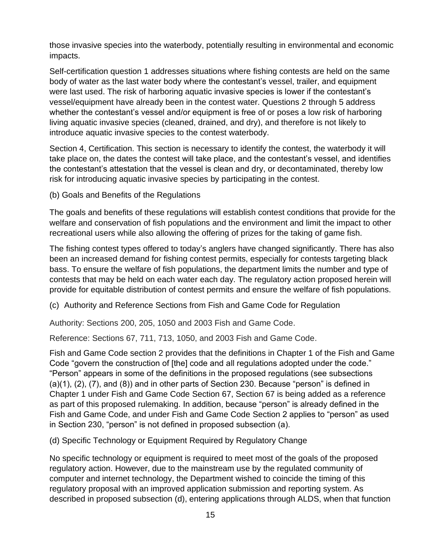those invasive species into the waterbody, potentially resulting in environmental and economic impacts.

Self-certification question 1 addresses situations where fishing contests are held on the same body of water as the last water body where the contestant's vessel, trailer, and equipment were last used. The risk of harboring aquatic invasive species is lower if the contestant's vessel/equipment have already been in the contest water. Questions 2 through 5 address whether the contestant's vessel and/or equipment is free of or poses a low risk of harboring living aquatic invasive species (cleaned, drained, and dry), and therefore is not likely to introduce aquatic invasive species to the contest waterbody.

Section 4, Certification. This section is necessary to identify the contest, the waterbody it will take place on, the dates the contest will take place, and the contestant's vessel, and identifies the contestant's attestation that the vessel is clean and dry, or decontaminated, thereby low risk for introducing aquatic invasive species by participating in the contest.

(b) Goals and Benefits of the Regulations

The goals and benefits of these regulations will establish contest conditions that provide for the welfare and conservation of fish populations and the environment and limit the impact to other recreational users while also allowing the offering of prizes for the taking of game fish.

The fishing contest types offered to today's anglers have changed significantly. There has also been an increased demand for fishing contest permits, especially for contests targeting black bass. To ensure the welfare of fish populations, the department limits the number and type of contests that may be held on each water each day. The regulatory action proposed herein will provide for equitable distribution of contest permits and ensure the welfare of fish populations.

(c) Authority and Reference Sections from Fish and Game Code for Regulation

Authority: Sections 200, 205, 1050 and 2003 Fish and Game Code.

Reference: Sections 67, 711, 713, 1050, and 2003 Fish and Game Code.

Fish and Game Code section 2 provides that the definitions in Chapter 1 of the Fish and Game Code "govern the construction of [the] code and all regulations adopted under the code." "Person" appears in some of the definitions in the proposed regulations (see subsections (a)(1), (2), (7), and (8)) and in other parts of Section 230. Because "person" is defined in Chapter 1 under Fish and Game Code Section 67, Section 67 is being added as a reference as part of this proposed rulemaking. In addition, because "person" is already defined in the Fish and Game Code, and under Fish and Game Code Section 2 applies to "person" as used in Section 230, "person" is not defined in proposed subsection (a).

(d) Specific Technology or Equipment Required by Regulatory Change

No specific technology or equipment is required to meet most of the goals of the proposed regulatory action. However, due to the mainstream use by the regulated community of computer and internet technology, the Department wished to coincide the timing of this regulatory proposal with an improved application submission and reporting system. As described in proposed subsection (d), entering applications through ALDS, when that function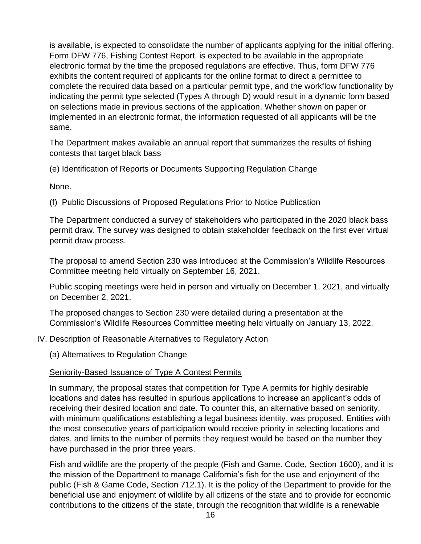is available, is expected to consolidate the number of applicants applying for the initial offering. Form DFW 776, Fishing Contest Report, is expected to be available in the appropriate electronic format by the time the proposed regulations are effective. Thus, form DFW 776 exhibits the content required of applicants for the online format to direct a permittee to complete the required data based on a particular permit type, and the workflow functionality by indicating the permit type selected (Types A through D) would result in a dynamic form based on selections made in previous sections of the application. Whether shown on paper or implemented in an electronic format, the information requested of all applicants will be the same.

The Department makes available an annual report that summarizes the results of fishing contests that target black bass

(e) Identification of Reports or Documents Supporting Regulation Change

None.

(f) Public Discussions of Proposed Regulations Prior to Notice Publication

The Department conducted a survey of stakeholders who participated in the 2020 black bass permit draw. The survey was designed to obtain stakeholder feedback on the first ever virtual permit draw process.

The proposal to amend Section 230 was introduced at the Commission's Wildlife Resources Committee meeting held virtually on September 16, 2021.

Public scoping meetings were held in person and virtually on December 1, 2021, and virtually on December 2, 2021.

The proposed changes to Section 230 were detailed during a presentation at the Commission's Wildlife Resources Committee meeting held virtually on January 13, 2022.

### IV. Description of Reasonable Alternatives to Regulatory Action

(a) Alternatives to Regulation Change

### Seniority-Based Issuance of Type A Contest Permits

In summary, the proposal states that competition for Type A permits for highly desirable locations and dates has resulted in spurious applications to increase an applicant's odds of receiving their desired location and date. To counter this, an alternative based on seniority, with minimum qualifications establishing a legal business identity, was proposed. Entities with the most consecutive years of participation would receive priority in selecting locations and dates, and limits to the number of permits they request would be based on the number they have purchased in the prior three years.

Fish and wildlife are the property of the people (Fish and Game. Code, Section 1600), and it is the mission of the Department to manage California's fish for the use and enjoyment of the public (Fish & Game Code, Section 712.1). It is the policy of the Department to provide for the beneficial use and enjoyment of wildlife by all citizens of the state and to provide for economic contributions to the citizens of the state, through the recognition that wildlife is a renewable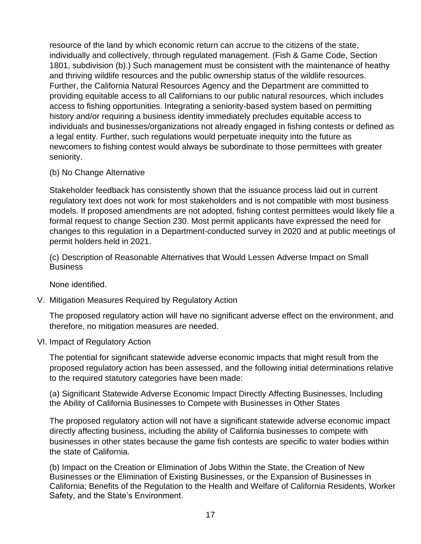resource of the land by which economic return can accrue to the citizens of the state, individually and collectively, through regulated management. (Fish & Game Code, Section 1801, subdivision (b).) Such management must be consistent with the maintenance of heathy and thriving wildlife resources and the public ownership status of the wildlife resources. Further, the California Natural Resources Agency and the Department are committed to providing equitable access to all Californians to our public natural resources, which includes access to fishing opportunities. Integrating a seniority-based system based on permitting history and/or requiring a business identity immediately precludes equitable access to individuals and businesses/organizations not already engaged in fishing contests or defined as a legal entity. Further, such regulations would perpetuate inequity into the future as newcomers to fishing contest would always be subordinate to those permittees with greater seniority.

(b) No Change Alternative

Stakeholder feedback has consistently shown that the issuance process laid out in current regulatory text does not work for most stakeholders and is not compatible with most business models. If proposed amendments are not adopted, fishing contest permittees would likely file a formal request to change Section 230. Most permit applicants have expressed the need for changes to this regulation in a Department-conducted survey in 2020 and at public meetings of permit holders held in 2021.

(c) Description of Reasonable Alternatives that Would Lessen Adverse Impact on Small **Business** 

None identified.

V. Mitigation Measures Required by Regulatory Action

The proposed regulatory action will have no significant adverse effect on the environment, and therefore, no mitigation measures are needed.

VI. Impact of Regulatory Action

The potential for significant statewide adverse economic impacts that might result from the proposed regulatory action has been assessed, and the following initial determinations relative to the required statutory categories have been made:

(a) Significant Statewide Adverse Economic Impact Directly Affecting Businesses, Including the Ability of California Businesses to Compete with Businesses in Other States

The proposed regulatory action will not have a significant statewide adverse economic impact directly affecting business, including the ability of California businesses to compete with businesses in other states because the game fish contests are specific to water bodies within the state of California.

(b) Impact on the Creation or Elimination of Jobs Within the State, the Creation of New Businesses or the Elimination of Existing Businesses, or the Expansion of Businesses in California; Benefits of the Regulation to the Health and Welfare of California Residents, Worker Safety, and the State's Environment.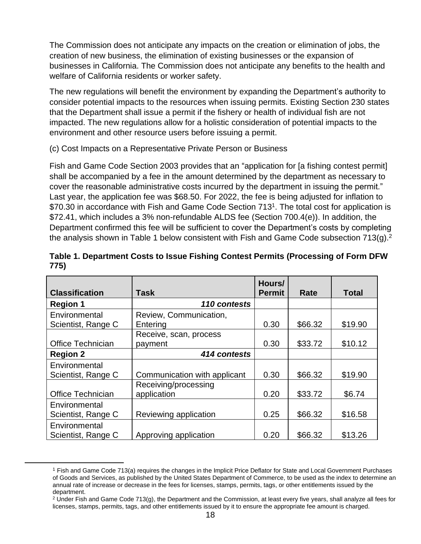The Commission does not anticipate any impacts on the creation or elimination of jobs, the creation of new business, the elimination of existing businesses or the expansion of businesses in California. The Commission does not anticipate any benefits to the health and welfare of California residents or worker safety.

The new regulations will benefit the environment by expanding the Department's authority to consider potential impacts to the resources when issuing permits. Existing Section 230 states that the Department shall issue a permit if the fishery or health of individual fish are not impacted. The new regulations allow for a holistic consideration of potential impacts to the environment and other resource users before issuing a permit.

(c) Cost Impacts on a Representative Private Person or Business

Fish and Game Code Section 2003 provides that an "application for [a fishing contest permit] shall be accompanied by a fee in the amount determined by the department as necessary to cover the reasonable administrative costs incurred by the department in issuing the permit." Last year, the application fee was \$68.50. For 2022, the fee is being adjusted for inflation to \$70.30 in accordance with Fish and Game Code Section 713<sup>1</sup>. The total cost for application is \$72.41, which includes a 3% non-refundable ALDS fee (Section 700.4(e)). In addition, the Department confirmed this fee will be sufficient to cover the Department's costs by completing the analysis shown in Table 1 below consistent with Fish and Game Code subsection 713(g).<sup>2</sup>

| <b>Classification</b>               | Task                                | Hours/<br><b>Permit</b> | Rate    | <b>Total</b> |
|-------------------------------------|-------------------------------------|-------------------------|---------|--------------|
| <b>Region 1</b>                     | 110 contests                        |                         |         |              |
| Environmental<br>Scientist, Range C | Review, Communication,<br>Entering  | 0.30                    | \$66.32 | \$19.90      |
| Office Technician                   | Receive, scan, process<br>payment   | 0.30                    | \$33.72 | \$10.12      |
| <b>Region 2</b>                     | 414 contests                        |                         |         |              |
| Environmental                       |                                     |                         |         |              |
| Scientist, Range C                  | Communication with applicant        | 0.30                    | \$66.32 | \$19.90      |
| <b>Office Technician</b>            | Receiving/processing<br>application | 0.20                    | \$33.72 | \$6.74       |
| Environmental<br>Scientist, Range C | Reviewing application               | 0.25                    | \$66.32 | \$16.58      |
| Environmental<br>Scientist, Range C | Approving application               | 0.20                    | \$66.32 | \$13.26      |

| Table 1. Department Costs to Issue Fishing Contest Permits (Processing of Form DFW |  |
|------------------------------------------------------------------------------------|--|
| 775)                                                                               |  |

<sup>1</sup> Fish and Game Code 713(a) requires the changes in the Implicit Price Deflator for State and Local Government Purchases of Goods and Services, as published by the United States Department of Commerce, to be used as the index to determine an annual rate of increase or decrease in the fees for licenses, stamps, permits, tags, or other entitlements issued by the department.

<sup>&</sup>lt;sup>2</sup> Under Fish and Game Code 713(g), the Department and the Commission, at least every five years, shall analyze all fees for licenses, stamps, permits, tags, and other entitlements issued by it to ensure the appropriate fee amount is charged.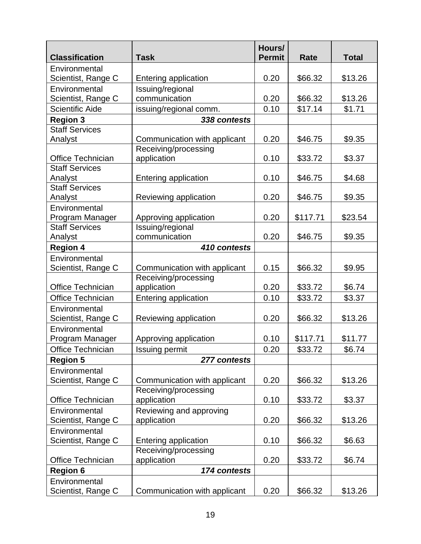| <b>Classification</b>            | <b>Task</b>                         | Hours/<br><b>Permit</b> | Rate     | <b>Total</b> |
|----------------------------------|-------------------------------------|-------------------------|----------|--------------|
| Environmental                    |                                     |                         |          |              |
| Scientist, Range C               | Entering application                | 0.20                    | \$66.32  | \$13.26      |
| Environmental                    | Issuing/regional                    |                         |          |              |
| Scientist, Range C               | communication                       | 0.20                    | \$66.32  | \$13.26      |
| <b>Scientific Aide</b>           | issuing/regional comm.              | 0.10                    | \$17.14  | \$1.71       |
| <b>Region 3</b>                  | 338 contests                        |                         |          |              |
| <b>Staff Services</b>            |                                     |                         |          |              |
| Analyst                          | Communication with applicant        | 0.20                    | \$46.75  | \$9.35       |
|                                  | Receiving/processing                |                         |          |              |
| <b>Office Technician</b>         | application                         | 0.10                    | \$33.72  | \$3.37       |
| <b>Staff Services</b>            |                                     |                         |          |              |
| Analyst                          | Entering application                | 0.10                    | \$46.75  | \$4.68       |
| <b>Staff Services</b>            |                                     |                         |          |              |
| Analyst                          | Reviewing application               | 0.20                    | \$46.75  | \$9.35       |
| Environmental<br>Program Manager | Approving application               | 0.20                    | \$117.71 | \$23.54      |
| <b>Staff Services</b>            | Issuing/regional                    |                         |          |              |
| Analyst                          | communication                       | 0.20                    | \$46.75  | \$9.35       |
| <b>Region 4</b>                  | 410 contests                        |                         |          |              |
| Environmental                    |                                     |                         |          |              |
| Scientist, Range C               | Communication with applicant        | 0.15                    | \$66.32  | \$9.95       |
|                                  | Receiving/processing                |                         |          |              |
| <b>Office Technician</b>         | application                         | 0.20                    | \$33.72  | \$6.74       |
| <b>Office Technician</b>         | <b>Entering application</b>         | 0.10                    | \$33.72  | \$3.37       |
| Environmental                    |                                     |                         |          |              |
| Scientist, Range C               | Reviewing application               | 0.20                    | \$66.32  | \$13.26      |
| Environmental                    |                                     |                         |          |              |
| Program Manager                  | Approving application               | 0.10                    | \$117.71 | \$11.77      |
| Office Technician                | Issuing permit                      | 0.20                    | \$33.72  | \$6.74       |
| <b>Region 5</b>                  | 277 contests                        |                         |          |              |
| Environmental                    |                                     |                         |          |              |
| Scientist, Range C               | Communication with applicant        | 0.20                    | \$66.32  | \$13.26      |
|                                  | Receiving/processing                |                         |          |              |
| <b>Office Technician</b>         | application                         | 0.10                    | \$33.72  | \$3.37       |
| Environmental                    | Reviewing and approving             |                         |          |              |
| Scientist, Range C               | application                         | 0.20                    | \$66.32  | \$13.26      |
| Environmental                    |                                     |                         |          |              |
| Scientist, Range C               | Entering application                | 0.10                    | \$66.32  | \$6.63       |
| <b>Office Technician</b>         | Receiving/processing<br>application | 0.20                    | \$33.72  | \$6.74       |
| <b>Region 6</b>                  | 174 contests                        |                         |          |              |
| Environmental                    |                                     |                         |          |              |
| Scientist, Range C               | Communication with applicant        | 0.20                    | \$66.32  | \$13.26      |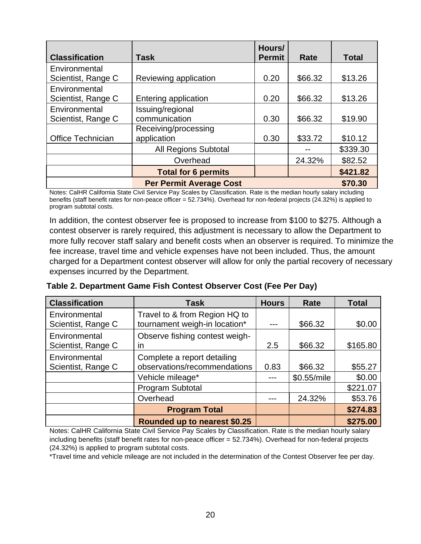|                          |                                | Hours/        |         |              |
|--------------------------|--------------------------------|---------------|---------|--------------|
| <b>Classification</b>    | Task                           | <b>Permit</b> | Rate    | <b>Total</b> |
| Environmental            |                                |               |         |              |
| Scientist, Range C       | Reviewing application          | 0.20          | \$66.32 | \$13.26      |
| Environmental            |                                |               |         |              |
| Scientist, Range C       | Entering application           |               | \$66.32 | \$13.26      |
| Environmental            | Issuing/regional               |               |         |              |
| Scientist, Range C       | communication                  | 0.30          | \$66.32 | \$19.90      |
|                          | Receiving/processing           |               |         |              |
| <b>Office Technician</b> | application                    | 0.30          | \$33.72 | \$10.12      |
|                          | <b>All Regions Subtotal</b>    |               |         | \$339.30     |
|                          | Overhead                       |               | 24.32%  | \$82.52      |
|                          | <b>Total for 6 permits</b>     |               |         | \$421.82     |
|                          | <b>Per Permit Average Cost</b> |               |         | \$70.30      |

Notes: CalHR California State Civil Service Pay Scales by Classification. Rate is the median hourly salary including benefits (staff benefit rates for non-peace officer = 52.734%). Overhead for non-federal projects (24.32%) is applied to program subtotal costs.

In addition, the contest observer fee is proposed to increase from \$100 to \$275. Although a contest observer is rarely required, this adjustment is necessary to allow the Department to more fully recover staff salary and benefit costs when an observer is required. To minimize the fee increase, travel time and vehicle expenses have not been included. Thus, the amount charged for a Department contest observer will allow for only the partial recovery of necessary expenses incurred by the Department.

| <b>Classification</b>               | <b>Task</b>                                                    | <b>Hours</b> | Rate        | <b>Total</b> |
|-------------------------------------|----------------------------------------------------------------|--------------|-------------|--------------|
| Environmental<br>Scientist, Range C | Travel to & from Region HQ to<br>tournament weigh-in location* |              | \$66.32     | \$0.00       |
| Environmental<br>Scientist, Range C | Observe fishing contest weigh-<br>ın                           | 2.5          | \$66.32     | \$165.80     |
| Environmental<br>Scientist, Range C | Complete a report detailing<br>observations/recommendations    | 0.83         | \$66.32     | \$55.27      |
|                                     | Vehicle mileage*                                               |              | \$0.55/mile | \$0.00       |
|                                     | Program Subtotal                                               |              |             | \$221.07     |
|                                     | Overhead                                                       |              | 24.32%      | \$53.76      |
|                                     | <b>Program Total</b>                                           |              |             | \$274.83     |
|                                     | Rounded up to nearest \$0.25                                   |              |             | \$275.00     |

**Table 2. Department Game Fish Contest Observer Cost (Fee Per Day)**

Notes: CalHR California State Civil Service Pay Scales by Classification. Rate is the median hourly salary including benefits (staff benefit rates for non-peace officer = 52.734%). Overhead for non-federal projects (24.32%) is applied to program subtotal costs.

\*Travel time and vehicle mileage are not included in the determination of the Contest Observer fee per day.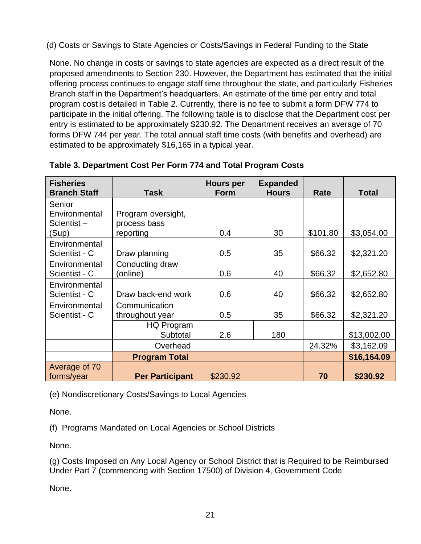(d) Costs or Savings to State Agencies or Costs/Savings in Federal Funding to the State

None. No change in costs or savings to state agencies are expected as a direct result of the proposed amendments to Section 230. However, the Department has estimated that the initial offering process continues to engage staff time throughout the state, and particularly Fisheries Branch staff in the Department's headquarters. An estimate of the time per entry and total program cost is detailed in Table 2. Currently, there is no fee to submit a form DFW 774 to participate in the initial offering. The following table is to disclose that the Department cost per entry is estimated to be approximately \$230.92. The Department receives an average of 70 forms DFW 744 per year. The total annual staff time costs (with benefits and overhead) are estimated to be approximately \$16,165 in a typical year.

| <b>Fisheries</b><br><b>Branch Staff</b> | <b>Task</b>            | <b>Hours per</b><br><b>Form</b> | <b>Expanded</b><br><b>Hours</b> | Rate     | <b>Total</b> |
|-----------------------------------------|------------------------|---------------------------------|---------------------------------|----------|--------------|
| Senior                                  |                        |                                 |                                 |          |              |
| Environmental                           | Program oversight,     |                                 |                                 |          |              |
| Scientist-                              | process bass           |                                 |                                 |          |              |
| (Sup)                                   | reporting              | 0.4                             | 30                              | \$101.80 | \$3,054.00   |
| Environmental                           |                        |                                 |                                 |          |              |
| Scientist - C                           | Draw planning          | 0.5                             | 35                              | \$66.32  | \$2,321.20   |
| Environmental                           | Conducting draw        |                                 |                                 |          |              |
| Scientist - C                           | (online)               | 0.6                             | 40                              | \$66.32  | \$2,652.80   |
| Environmental                           |                        |                                 |                                 |          |              |
| Scientist - C                           | Draw back-end work     | 0.6                             | 40                              | \$66.32  | \$2,652.80   |
| Environmental                           | Communication          |                                 |                                 |          |              |
| Scientist - C                           | throughout year        | 0.5                             | 35                              | \$66.32  | \$2,321.20   |
|                                         | HQ Program             |                                 |                                 |          |              |
|                                         | Subtotal               | 2.6                             | 180                             |          | \$13,002.00  |
|                                         | Overhead               |                                 |                                 | 24.32%   | \$3,162.09   |
|                                         | <b>Program Total</b>   |                                 |                                 |          | \$16,164.09  |
| Average of 70                           |                        |                                 |                                 |          |              |
| forms/year                              | <b>Per Participant</b> | \$230.92                        |                                 | 70       | \$230.92     |

**Table 3. Department Cost Per Form 774 and Total Program Costs**

(e) Nondiscretionary Costs/Savings to Local Agencies

None.

(f) Programs Mandated on Local Agencies or School Districts

None.

(g) Costs Imposed on Any Local Agency or School District that is Required to be Reimbursed Under Part 7 (commencing with Section 17500) of Division 4, Government Code

None.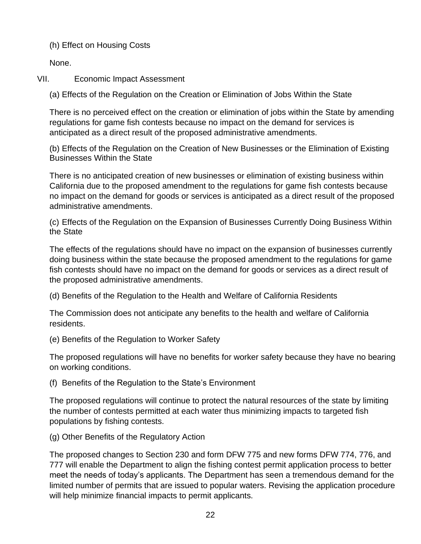(h) Effect on Housing Costs

None.

VII. Economic Impact Assessment

(a) Effects of the Regulation on the Creation or Elimination of Jobs Within the State

There is no perceived effect on the creation or elimination of jobs within the State by amending regulations for game fish contests because no impact on the demand for services is anticipated as a direct result of the proposed administrative amendments.

(b) Effects of the Regulation on the Creation of New Businesses or the Elimination of Existing Businesses Within the State

There is no anticipated creation of new businesses or elimination of existing business within California due to the proposed amendment to the regulations for game fish contests because no impact on the demand for goods or services is anticipated as a direct result of the proposed administrative amendments.

(c) Effects of the Regulation on the Expansion of Businesses Currently Doing Business Within the State

The effects of the regulations should have no impact on the expansion of businesses currently doing business within the state because the proposed amendment to the regulations for game fish contests should have no impact on the demand for goods or services as a direct result of the proposed administrative amendments.

(d) Benefits of the Regulation to the Health and Welfare of California Residents

The Commission does not anticipate any benefits to the health and welfare of California residents.

(e) Benefits of the Regulation to Worker Safety

The proposed regulations will have no benefits for worker safety because they have no bearing on working conditions.

(f) Benefits of the Regulation to the State's Environment

The proposed regulations will continue to protect the natural resources of the state by limiting the number of contests permitted at each water thus minimizing impacts to targeted fish populations by fishing contests.

(g) Other Benefits of the Regulatory Action

The proposed changes to Section 230 and form DFW 775 and new forms DFW 774, 776, and 777 will enable the Department to align the fishing contest permit application process to better meet the needs of today's applicants. The Department has seen a tremendous demand for the limited number of permits that are issued to popular waters. Revising the application procedure will help minimize financial impacts to permit applicants.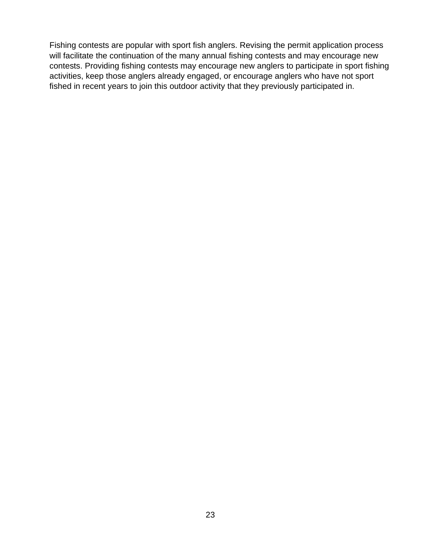Fishing contests are popular with sport fish anglers. Revising the permit application process will facilitate the continuation of the many annual fishing contests and may encourage new contests. Providing fishing contests may encourage new anglers to participate in sport fishing activities, keep those anglers already engaged, or encourage anglers who have not sport fished in recent years to join this outdoor activity that they previously participated in.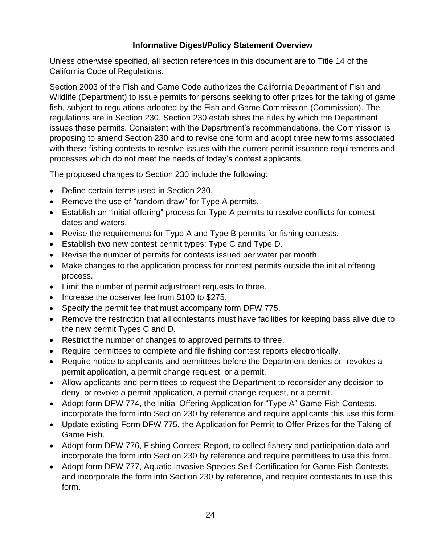# **Informative Digest/Policy Statement Overview**

Unless otherwise specified, all section references in this document are to Title 14 of the California Code of Regulations.

Section 2003 of the Fish and Game Code authorizes the California Department of Fish and Wildlife (Department) to issue permits for persons seeking to offer prizes for the taking of game fish, subject to regulations adopted by the Fish and Game Commission (Commission). The regulations are in Section 230. Section 230 establishes the rules by which the Department issues these permits. Consistent with the Department's recommendations, the Commission is proposing to amend Section 230 and to revise one form and adopt three new forms associated with these fishing contests to resolve issues with the current permit issuance requirements and processes which do not meet the needs of today's contest applicants.

The proposed changes to Section 230 include the following:

- Define certain terms used in Section 230.
- Remove the use of "random draw" for Type A permits.
- Establish an "initial offering" process for Type A permits to resolve conflicts for contest dates and waters.
- Revise the requirements for Type A and Type B permits for fishing contests.
- Establish two new contest permit types: Type C and Type D.
- Revise the number of permits for contests issued per water per month.
- Make changes to the application process for contest permits outside the initial offering process.
- Limit the number of permit adjustment requests to three.
- Increase the observer fee from \$100 to \$275.
- Specify the permit fee that must accompany form DFW 775.
- Remove the restriction that all contestants must have facilities for keeping bass alive due to the new permit Types C and D.
- Restrict the number of changes to approved permits to three.
- Require permittees to complete and file fishing contest reports electronically.
- Require notice to applicants and permittees before the Department denies or revokes a permit application, a permit change request, or a permit.
- Allow applicants and permittees to request the Department to reconsider any decision to deny, or revoke a permit application, a permit change request, or a permit.
- Adopt form DFW 774, the Initial Offering Application for "Type A" Game Fish Contests, incorporate the form into Section 230 by reference and require applicants this use this form.
- Update existing Form DFW 775, the Application for Permit to Offer Prizes for the Taking of Game Fish.
- Adopt form DFW 776, Fishing Contest Report, to collect fishery and participation data and incorporate the form into Section 230 by reference and require permittees to use this form.
- Adopt form DFW 777, Aquatic Invasive Species Self-Certification for Game Fish Contests, and incorporate the form into Section 230 by reference, and require contestants to use this form.